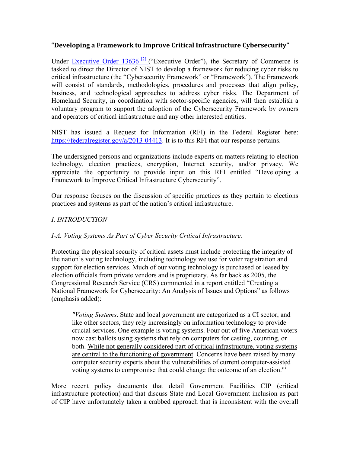# **"Developing a Framework to Improve Critical Infrastructure Cybersecurity"**

Under Executive Order 13636<sup>[2]</sup> ("Executive Order"), the Secretary of Commerce is tasked to direct the Director of NIST to develop a framework for reducing cyber risks to critical infrastructure (the "Cybersecurity Framework" or "Framework"). The Framework will consist of standards, methodologies, procedures and processes that align policy, business, and technological approaches to address cyber risks. The Department of voluntary program to support the adoption of the Cybersecurity Framework by owners Homeland Security, in coordination with sector-specific agencies, will then establish a and operators of critical infrastructure and any other interested entities.

 NIST has issued a Request for Information (RFI) in the Federal Register here: https://federalregister.gov/a/2013-04413. It is to this RFI that our response pertains.

 The undersigned persons and organizations include experts on matters relating to election appreciate the opportunity to provide input on this RFI entitled "Developing a technology, election practices, encryption, Internet security, and/or privacy. We Framework to Improve Critical Infrastructure Cybersecurity".

 Our response focuses on the discussion of specific practices as they pertain to elections practices and systems as part of the nation's critical infrastructure.

# *I. INTRODUCTION*

## *I-A. Voting Systems As Part of Cyber Security Critical Infrastructure.*

Protecting the physical security of critical assets must include protecting the integrity of the nation's voting technology, including technology we use for voter registration and support for election services. Much of our voting technology is purchased or leased by election officials from private vendors and is proprietary. As far back as 2005, the Congressional Research Service (CRS) commented in a report entitled "Creating a National Framework for Cybersecurity: An Analysis of Issues and Options" as follows (emphasis added):

*"Voting Systems*. State and local government are categorized as a CI sector, and like other sectors, they rely increasingly on information technology to provide crucial services. One example is voting systems. Four out of five American voters now cast ballots using systems that rely on computers for casting, counting, or both. While not generally considered part of critical infrastructure, voting systems are central to the functioning of government. Concerns have been raised by many computer security experts about the vulnerabilities of current computer-assisted voting systems to compromise that could change the outcome of an election."<sup>i</sup>

 More recent policy documents that detail Government Facilities CIP (critical infrastructure protection) and that discuss State and Local Government inclusion as part of CIP have unfortunately taken a crabbed approach that is inconsistent with the overall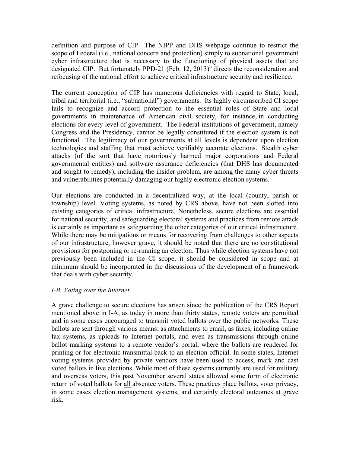definition and purpose of CIP. The NIPP and DHS webpage continue to restrict the scope of Federal (i.e., national concern and protection) simply to subnational government cyber infrastructure that is necessary to the functioning of physical assets that are designated CIP. But fortunately PPD-21 (Feb. 12, 2013)<sup>ii</sup> directs the reconsideration and refocusing of the national effort to achieve critical infrastructure security and resilience.

 The current conception of CIP has numerous deficiencies with regard to State, local, tribal and territorial (i.e., "subnational") governments. Its highly circumscribed CI scope fails to recognize and accord protection to the essential roles of State and local governments in maintenance of American civil society, for instance, in conducting elections for every level of government. The Federal institutions of government, namely Congress and the Presidency, cannot be legally constituted if the election system is not functional. The legitimacy of our governments at all levels is dependent upon election technologies and staffing that must achieve verifiably accurate elections. Stealth cyber attacks (of the sort that have notoriously harmed major corporations and Federal governmental entities) and software assurance deficiencies (that DHS has documented and sought to remedy), including the insider problem, are among the many cyber threats and vulnerabilities potentially damaging our highly electronic election systems.

 and vulnerabilities potentially damaging our highly electronic election systems. Our elections are conducted in a decentralized way, at the local (county, parish or township) level. Voting systems, as noted by CRS above, have not been slotted into existing categories of critical infrastructure. Nonetheless, secure elections are essential for national security, and safeguarding electoral systems and practices from remote attack is certainly as important as safeguarding the other categories of our critical infrastructure. While there may be mitigations or means for recovering from challenges to other aspects of our infrastructure, however grave, it should be noted that there are no constitutional provisions for postponing or re-running an election. Thus while election systems have not previously been included in the CI scope, it should be considered in scope and at minimum should be incorporated in the discussions of the development of a framework that deals with cyber security.

#### *I-B. Voting over the Internet*

 A grave challenge to secure elections has arisen since the publication of the CRS Report mentioned above in I-A, as today in more than thirty states, remote voters are permitted and in some cases encouraged to transmit voted ballots over the public networks. These ballots are sent through various means: as attachments to email, as faxes, including online fax systems, as uploads to Internet portals, and even as transmissions through online ballot marking systems to a remote vendor's portal, where the ballots are rendered for printing or for electronic transmittal back to an election official. In some states, Internet voting systems provided by private vendors have been used to access, mark and cast voted ballots in live elections. While most of these systems currently are used for military and overseas voters, this past November several states allowed some form of electronic return of voted ballots for all absentee voters. These practices place ballots, voter privacy, in some cases election management systems, and certainly electoral outcomes at grave risk.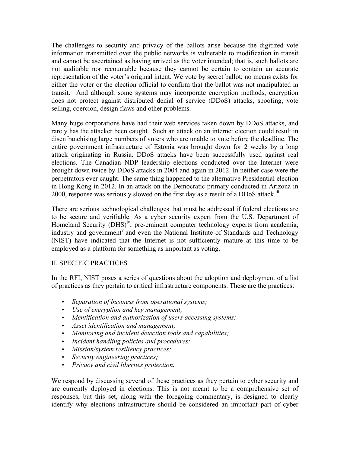The challenges to security and privacy of the ballots arise because the digitized vote information transmitted over the public networks is vulnerable to modification in transit and cannot be ascertained as having arrived as the voter intended; that is, such ballots are not auditable nor recountable because they cannot be certain to contain an accurate representation of the voter's original intent. We vote by secret ballot; no means exists for either the voter or the election official to confirm that the ballot was not manipulated in transit. And although some systems may incorporate encryption methods, encryption does not protect against distributed denial of service (DDoS) attacks, spoofing, vote selling, coercion, design flaws and other problems.

 Many huge corporations have had their web services taken down by DDoS attacks, and rarely has the attacker been caught. Such an attack on an internet election could result in disenfranchising large numbers of voters who are unable to vote before the deadline. The entire government infrastructure of Estonia was brought down for 2 weeks by a long attack originating in Russia. DDoS attacks have been successfully used against real elections. The Canadian NDP leadership elections conducted over the Internet were brought down twice by DDoS attacks in 2004 and again in 2012. In neither case were the perpetrators ever caught. The same thing happened to the alternative Presidential election in Hong Kong in 2012. In an attack on the Democratic primary conducted in Arizona in 2000, response was seriously slowed on the first day as a result of a DDoS attack.<sup>iii</sup>

 There are serious technological challenges that must be addressed if federal elections are to be secure and verifiable. As a cyber security expert from the U.S. Department of Homeland Security (DHS)<sup>iv</sup>, pre-eminent computer technology experts from academia, industry and government<sup>v</sup> and even the National Institute of Standards and Technology (NIST) have indicated that the Internet is not sufficiently mature at this time to be employed as a platform for something as important as voting.

#### II. SPECIFIC PRACTICES

 In the RFI, NIST poses a series of questions about the adoption and deployment of a list of practices as they pertain to critical infrastructure components. These are the practices:

- *Separation of business from operational systems;*
- *Use of encryption and key management;*
- *Identification and authorization of users accessing systems;*
- *Asset identification and management;*
- *Monitoring and incident detection tools and capabilities;*
- *Incident handling policies and procedures;*
- *Mission/system resiliency practices;*
- *Security engineering practices;*
- *Privacy and civil liberties protection.*

 We respond by discussing several of these practices as they pertain to cyber security and are currently deployed in elections. This is not meant to be a comprehensive set of responses, but this set, along with the foregoing commentary, is designed to clearly identify why elections infrastructure should be considered an important part of cyber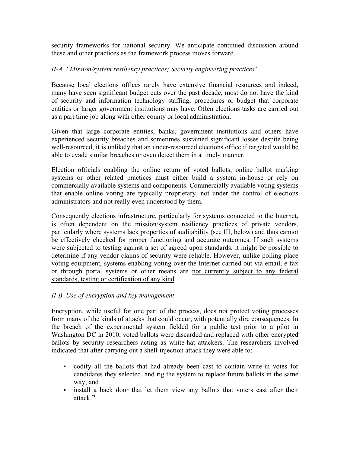security frameworks for national security. We anticipate continued discussion around these and other practices as the framework process moves forward.

## *II-A. "Mission/system resiliency practices; Security engineering practices"*

 Because local elections offices rarely have extensive financial resources and indeed, many have seen significant budget cuts over the past decade, most do not have the kind of security and information technology staffing, procedures or budget that corporate entities or larger government institutions may have. Often elections tasks are carried out as a part time job along with other county or local administration.

 Given that large corporate entities, banks, government institutions and others have experienced security breaches and sometimes sustained significant losses despite being well-resourced, it is unlikely that an under-resourced elections office if targeted would be able to evade similar breaches or even detect them in a timely manner.

 Election officials enabling the online return of voted ballots, online ballot marking systems or other related practices must either build a system in-house or rely on commercially available systems and components. Commercially available voting systems that enable online voting are typically proprietary, not under the control of elections administrators and not really even understood by them.

 Consequently elections infrastructure, particularly for systems connected to the Internet, is often dependent on the mission/system resiliency practices of private vendors, particularly where systems lack properties of auditability (see III, below) and thus cannot were subjected to testing against a set of agreed upon standards, it might be possible to determine if any vendor claims of security were reliable. However, unlike polling place voting equipment, systems enabling voting over the Internet carried out via email, e-fax or through portal systems or other means are not currently subject to any federal be effectively checked for proper functioning and accurate outcomes. If such systems standards, testing or certification of any kind.

## *II-B. Use of encryption and key management*

 Encryption, while useful for one part of the process, does not protect voting processes from many of the kinds of attacks that could occur, with potentially dire consequences. In the breach of the experimental system fielded for a public test prior to a pilot in Washington DC in 2010, voted ballots were discarded and replaced with other encrypted ballots by security researchers acting as white-hat attackers. The researchers involved indicated that after carrying out a shell-injection attack they were able to:

- codify all the ballots that had already been cast to contain write-in votes for candidates they selected, and rig the system to replace future ballots in the same way; and
- install a back door that let them view any ballots that voters cast after their attack.<sup>vi</sup>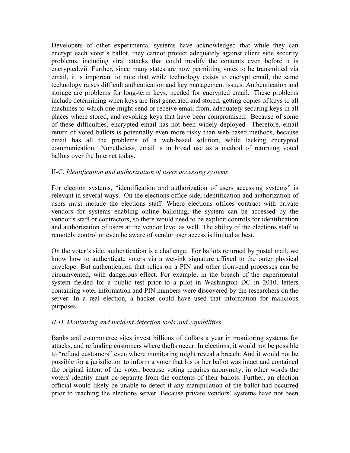Developers of other experimental systems have acknowledged that while they can encrypt each voter's ballot, they cannot protect adequately against client side security problems, including viral attacks that could modify the contents even before it is encrypted.vii Further, since many states are now permitting votes to be transmitted via email, it is important to note that while technology exists to encrypt email, the same technology raises difficult authentication and key management issues. Authentication and storage are problems for long-term keys, needed for encrypted email. These problems include determining when keys are first generated and stored, getting copies of keys to all machines to which one might send or receive email from, adequately securing keys in all places where stored, and revoking keys that have been compromised. Because of some of these difficulties, encrypted email has not been widely deployed. Therefore, email return of voted ballots is potentially even more risky than web-based methods, because email has all the problems of a web-based solution, while lacking encrypted communication. Nonetheless, email is in broad use as a method of returning voted ballots over the Internet today.

#### II-C. *Identification and authorization of users accessing systems*

 For election systems, "identification and authorization of users accessing systems" is relevant in several ways. On the elections office side, identification and authorization of users must include the elections staff. Where elections offices contract with private vendors for systems enabling online balloting, the system can be accessed by the vendor's staff or contractors, so there would need to be explicit controls for identification and authorization of users at the vendor level as well. The ability of the elections staff to remotely control or even be aware of vendor user access is limited at best.

 On the voter's side, authentication is a challenge. For ballots returned by postal mail, we know how to authenticate voters via a wet-ink signature affixed to the outer physical envelope. But authentication that relies on a PIN and other front-end processes can be circumvented, with dangerous effect. For example, in the breach of the experimental system fielded for a public test prior to a pilot in Washington DC in 2010, letters containing voter information and PIN numbers were discovered by the researchers on the server. In a real election, a hacker could have used that information for malicious purposes.

#### *II-D. Monitoring and incident detection tools and capabilities*

 Banks and e-commerce sites invest billions of dollars a year in monitoring systems for attacks, and refunding customers where thefts occur. In elections, it would not be possible to "refund customers" even where monitoring might reveal a breach. And it would not be possible for a jurisdiction to inform a voter that his or her ballot was intact and contained the original intent of the voter, because voting requires anonymity, in other words the voters' identity must be separate from the contents of their ballots. Further, an election official would likely be unable to detect if any manipulation of the ballot had occurred prior to reaching the elections server. Because private vendors' systems have not been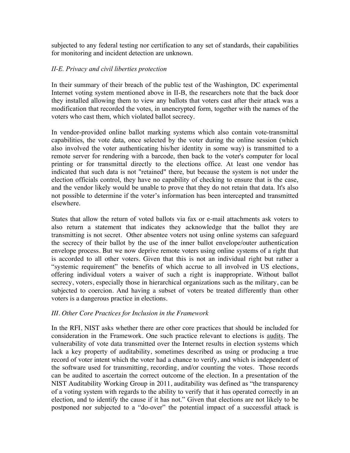subjected to any federal testing nor certification to any set of standards, their capabilities for monitoring and incident detection are unknown.

### *II-E. Privacy and civil liberties protection*

 In their summary of their breach of the public test of the Washington, DC experimental Internet voting system mentioned above in II-B, the researchers note that the back door they installed allowing them to view any ballots that voters cast after their attack was a modification that recorded the votes, in unencrypted form, together with the names of the voters who cast them, which violated ballot secrecy.

 In vendor-provided online ballot marking systems which also contain vote-transmittal capabilities, the vote data, once selected by the voter during the online session (which also involved the voter authenticating his/her identity in some way) is transmitted to a remote server for rendering with a barcode, then back to the voter's computer for local printing or for transmittal directly to the elections office. At least one vendor has indicated that such data is not "retained" there, but because the system is not under the election officials control, they have no capability of checking to ensure that is the case, and the vendor likely would be unable to prove that they do not retain that data. It's also not possible to determine if the voter's information has been intercepted and transmitted elsewhere.

 States that allow the return of voted ballots via fax or e-mail attachments ask voters to also return a statement that indicates they acknowledge that the ballot they are transmitting is not secret. Other absentee voters not using online systems can safeguard the secrecy of their ballot by the use of the inner ballot envelope/outer authentication envelope process. But we now deprive remote voters using online systems of a right that is accorded to all other voters. Given that this is not an individual right but rather a "systemic requirement" the benefits of which accrue to all involved in US elections, offering individual voters a waiver of such a right is inappropriate. Without ballot secrecy, voters, especially those in hierarchical organizations such as the military, can be subjected to coercion. And having a subset of voters be treated differently than other voters is a dangerous practice in elections.

#### *III. Other Core Practices for Inclusion in the Framework*

 In the RFI, NIST asks whether there are other core practices that should be included for consideration in the Framework. One such practice relevant to elections is audits. The vulnerability of vote data transmitted over the Internet results in election systems which lack a key property of auditability, sometimes described as using or producing a true record of voter intent which the voter had a chance to verify, and which is independent of the software used for transmitting, recording, and/or counting the votes. Those records can be audited to ascertain the correct outcome of the election. In a presentation of the NIST Auditability Working Group in 2011, auditability was defined as "the transparency of a voting system with regards to the ability to verify that it has operated correctly in an election, and to identify the cause if it has not." Given that elections are not likely to be postponed nor subjected to a "do-over" the potential impact of a successful attack is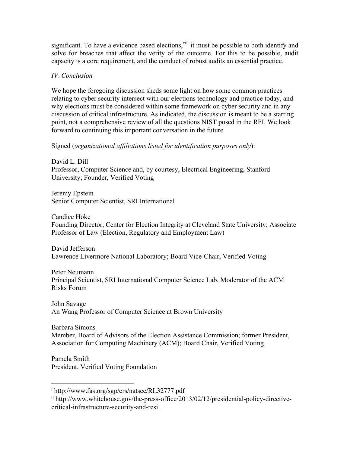significant. To have a evidence based elections, vilit it must be possible to both identify and solve for breaches that affect the verity of the outcome. For this to be possible, audit capacity is a core requirement, and the conduct of robust audits an essential practice.

### *IV. Conclusion*

We hope the foregoing discussion sheds some light on how some common practices relating to cyber security intersect with our elections technology and practice today, and why elections must be considered within some framework on cyber security and in any discussion of critical infrastructure. As indicated, the discussion is meant to be a starting point, not a comprehensive review of all the questions NIST posed in the RFI. We look forward to continuing this important conversation in the future.

## Signed (*organizational affiliations listed for identification purposes only*):

David L. Dill Professor, Computer Science and, by courtesy, Electrical Engineering, Stanford University; Founder, Verified Voting

Jeremy Epstein Senior Computer Scientist, SRI International

Candice Hoke Founding Director, Center for Election Integrity at Cleveland State University; Associate Professor of Law (Election, Regulatory and Employment Law)

David Jefferson Lawrence Livermore National Laboratory; Board Vice-Chair, Verified Voting

 Principal Scientist, SRI International Computer Science Lab, Moderator of the ACM Peter Neumann Risks Forum

John Savage An Wang Professor of Computer Science at Brown University

Barbara Simons Member, Board of Advisors of the Election Assistance Commission; former President, Association for Computing Machinery (ACM); Board Chair, Verified Voting

Pamela Smith President, Verified Voting Foundation

<sup>i</sup> http://www.fas.org/sgp/crs/natsec/RL32777.pdf

ii http://www.whitehouse.gov/the-press-office/2013/02/12/presidential-policy-directivecritical-infrastructure-security-and-resil